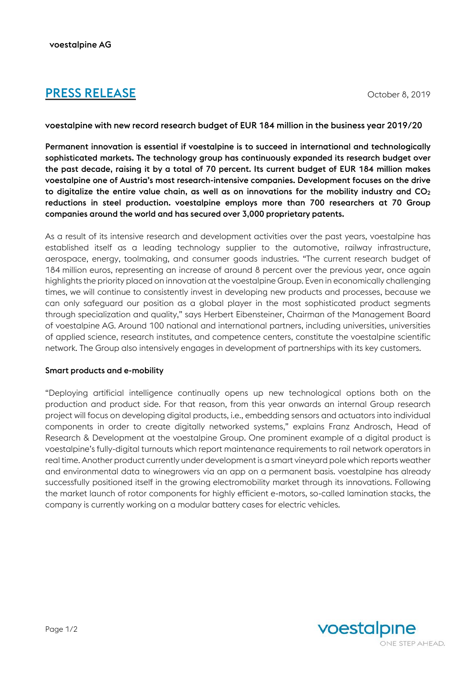# **PRESS RELEASE** October 8, 2019

voestalpine with new record research budget of EUR 184 million in the business year 2019/20

Permanent innovation is essential if voestalpine is to succeed in international and technologically sophisticated markets. The technology group has continuously expanded its research budget over the past decade, raising it by a total of 70 percent. Its current budget of EUR 184 million makes voestalpine one of Austria's most research-intensive companies. Development focuses on the drive to digitalize the entire value chain, as well as on innovations for the mobility industry and  $CO<sub>2</sub>$ reductions in steel production. voestalpine employs more than 700 researchers at 70 Group companies around the world and has secured over 3,000 proprietary patents.

As a result of its intensive research and development activities over the past years, voestalpine has established itself as a leading technology supplier to the automotive, railway infrastructure, aerospace, energy, toolmaking, and consumer goods industries. "The current research budget of 184 million euros, representing an increase of around 8 percent over the previous year, once again highlights the priority placed on innovation at the voestalpine Group. Even in economically challenging times, we will continue to consistently invest in developing new products and processes, because we can only safeguard our position as a global player in the most sophisticated product segments through specialization and quality," says Herbert Eibensteiner, Chairman of the Management Board of voestalpine AG. Around 100 national and international partners, including universities, universities of applied science, research institutes, and competence centers, constitute the voestalpine scientific network. The Group also intensively engages in development of partnerships with its key customers.

### Smart products and e-mobility

"Deploying artificial intelligence continually opens up new technological options both on the production and product side. For that reason, from this year onwards an internal Group research project will focus on developing digital products, i.e., embedding sensors and actuators into individual components in order to create digitally networked systems," explains Franz Androsch, Head of Research & Development at the voestalpine Group. One prominent example of a digital product is voestalpine's fully-digital turnouts which report maintenance requirements to rail network operators in real time. Another product currently under development is a smart vineyard pole which reports weather and environmental data to winegrowers via an app on a permanent basis. voestalpine has already successfully positioned itself in the growing electromobility market through its innovations. Following the market launch of rotor components for highly efficient e-motors, so-called lamination stacks, the company is currently working on a modular battery cases for electric vehicles.